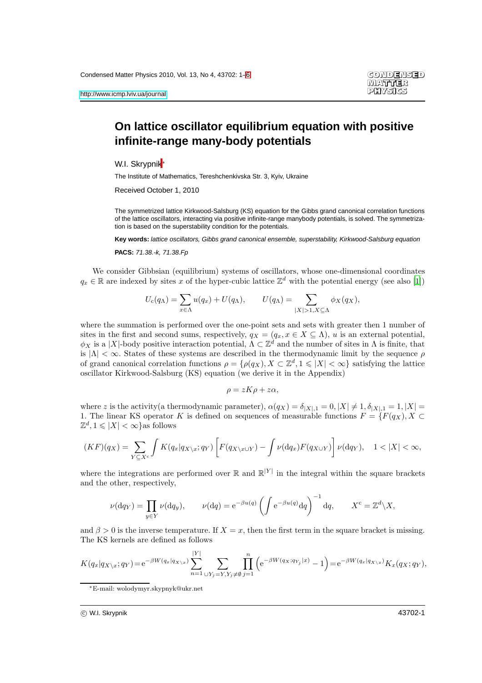## **On lattice oscillator equilibrium equation with positive infinite-range many-body potentials**

W.I. Skrvpnik<sup>∗</sup>

The Institute of Mathematics, Tereshchenkivska Str. 3, Kyiv, Ukraine

Received October 1, 2010

The symmetrized lattice Kirkwood-Salsburg (KS) equation for the Gibbs grand canonical correlation functions of the lattice oscillators, interacting via positive infinite-range manybody potentials, is solved. The symmetrization is based on the superstability condition for the potentials.

**Key words:** lattice oscillators, Gibbs grand canonical ensemble, superstability, Kirkwood-Salsburg equation

**PACS:** 71.38.-k, 71.38.Fp

We consider Gibbsian (equilibrium) systems of oscillators, whose one-dimensional coordinates  $q_x \in \mathbb{R}$  are indexed by sites x of the hyper-cubic lattice  $\mathbb{Z}^d$  with the potential energy (see also [\[1\]](#page-5-1))

$$
U_{\mathbf{c}}(q_{\Lambda}) = \sum_{x \in \Lambda} u(q_x) + U(q_{\Lambda}), \qquad U(q_{\Lambda}) = \sum_{|X| > 1, X \subseteq \Lambda} \phi_X(q_X),
$$

where the summation is performed over the one-point sets and sets with greater then 1 number of sites in the first and second sums, respectively,  $q_X = (q_x, x \in X \subseteq \Lambda)$ , u is an external potential,  $\phi_X$  is a |X|-body positive interaction potential,  $\Lambda \subset \mathbb{Z}^d$  and the number of sites in  $\Lambda$  is finite, that is  $|\Lambda| < \infty$ . States of these systems are described in the thermodynamic limit by the sequence  $\rho$ of grand canonical correlation functions  $\rho = \{\rho(q_X), X \subset \mathbb{Z}^d, 1 \leqslant |X| < \infty\}$  satisfying the lattice oscillator Kirkwood-Salsburg (KS) equation (we derive it in the Appendix)

$$
\rho = zK\rho + z\alpha,
$$

where z is the activity(a thermodynamic parameter),  $\alpha(q_X) = \delta_{|X|,1} = 0, |X| \neq 1, \delta_{|X|,1} = 1, |X| = 1$ 1. The linear KS operator K is defined on sequences of measurable functions  $F = \{F(q_X), X \subset$  $\mathbb{Z}^d, 1 \leqslant |X| < \infty$  as follows

$$
(KF)(q_X) = \sum_{Y \subseteq X^c} \int K(q_x | q_{X \setminus x}; q_Y) \left[ F(q_{X \setminus x \cup Y}) - \int \nu(\mathrm{d}q_x) F(q_{X \cup Y}) \right] \nu(\mathrm{d}q_Y), \quad 1 < |X| < \infty,
$$

where the integrations are performed over  $\mathbb R$  and  $\mathbb R^{|Y|}$  in the integral within the square brackets and the other, respectively,

$$
\nu(\mathrm{d}q_Y) = \prod_{y \in Y} \nu(\mathrm{d}q_y), \qquad \nu(\mathrm{d}q) = e^{-\beta u(q)} \left( \int e^{-\beta u(q)} \mathrm{d}q \right)^{-1} \mathrm{d}q, \qquad X^c = \mathbb{Z}^d \setminus X,
$$

and  $\beta > 0$  is the inverse temperature. If  $X = x$ , then the first term in the square bracket is missing. The KS kernels are defined as follows

$$
K(q_x|q_{X\setminus x}; q_Y) = e^{-\beta W(q_x|q_{X\setminus x})} \sum_{n=1}^{|Y|} \sum_{\cup Y_j = Y, Y_j \neq \emptyset} \prod_{j=1}^n \left( e^{-\beta W(q_X; q_{Y_j}|x)} - 1 \right) = e^{-\beta W(q_x|q_{X\setminus x})} K_x(q_X; q_Y),
$$

<sup>∗</sup>E-mail: wolodymyr.skypnyk@ukr.net

c W.I. Skrypnik 43702-1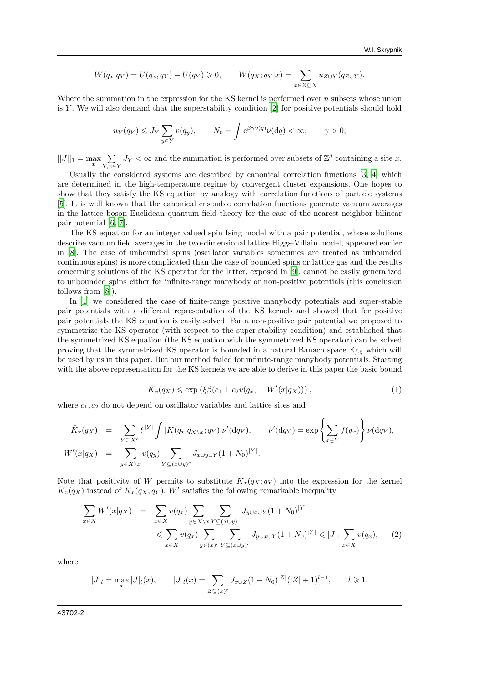$$
W(q_x|q_Y) = U(q_x,q_Y) - U(q_Y) \geq 0, \qquad W(q_X;q_Y|x) = \sum_{x \in Z \subseteq X} u_{Z \cup Y}(q_{Z \cup Y}).
$$

Where the summation in the expression for the KS kernel is performed over  $n$  subsets whose union is Y. We will also demand that the superstability condition  $[2]$  for positive potentials should hold

$$
u_Y(q_Y) \leqslant J_Y \sum_{y \in Y} v(q_y), \qquad N_0 = \int e^{\beta \gamma v(q)} \nu(\mathrm{d}q) < \infty, \qquad \gamma > 0,
$$

 $||J||_1 = \max_{x} \sum_{Y, x \in \mathcal{F}}$  $\sum_{Y,x\in Y} J_Y <\infty$  and the summation is performed over subsets of  $\mathbb{Z}^d$  containing a site x.

Usually the considered systems are described by canonical correlation functions [\[3](#page-5-3), [4\]](#page-5-4) which are determined in the high-temperature regime by convergent cluster expansions. One hopes to show that they satisfy the KS equation by analogy with correlation functions of particle systems [\[5\]](#page-5-5). It is well known that the canonical ensemble correlation functions generate vacuum averages in the lattice boson Euclidean quantum field theory for the case of the nearest neighbor bilinear pair potential [\[6](#page-5-6), [7](#page-5-7)].

The KS equation for an integer valued spin Ising model with a pair potential, whose solutions describe vacuum field averages in the two-dimensional lattice Higgs-Villain model, appeared earlier in [\[8\]](#page-5-8). The case of unbounded spins (oscillator variables sometimes are treated as unbounded continuous spins) is more complicated than the case of bounded spins or lattice gas and the results concerning solutions of the KS operator for the latter, exposed in [\[9\]](#page-5-9), cannot be easily generalized to unbounded spins either for infinite-range manybody or non-positive potentials (this conclusion follows from [\[8\]](#page-5-8)).

In [\[1](#page-5-1)] we considered the case of finite-range positive manybody potentials and super-stable pair potentials with a different representation of the KS kernels and showed that for positive pair potentials the KS equation is easily solved. For a non-positive pair potential we proposed to symmetrize the KS operator (with respect to the super-stability condition) and established that the symmetrized KS equation (the KS equation with the symmetrized KS operator) can be solved proving that the symmetrized KS operator is bounded in a natural Banach space  $\mathbb{E}_{f,\xi}$  which will be used by us in this paper. But our method failed for infinite-range manybody potentials. Starting with the above representation for the KS kernels we are able to derive in this paper the basic bound

$$
\bar{K}_x(q_X) \leq \exp\left\{\xi\beta(c_1 + c_2v(q_x) + W'(x|q_X))\right\},\tag{1}
$$

where  $c_1, c_2$  do not depend on oscillator variables and lattice sites and

$$
\overline{K}_x(q_X) = \sum_{Y \subseteq X^c} \xi^{|Y|} \int |K(q_x|q_{X\setminus x}; q_Y)| \nu'(dq_Y), \qquad \nu'(dq_Y) = \exp\left\{\sum_{x \in Y} f(q_x)\right\} \nu(dq_Y),
$$
  
\n
$$
W'(x|q_X) = \sum_{y \in X \setminus x} v(q_y) \sum_{Y \subseteq (x \cup y)^c} J_{x \cup y \cup Y} (1 + N_0)^{|Y|}.
$$

Note that positivity of W permits to substitute  $K_x(q_X; q_Y)$  into the expression for the kernel  $\bar{K}_x(q_X)$  instead of  $K_x(q_X; q_Y)$ . W' satisfies the following remarkable inequality

$$
\sum_{x \in X} W'(x|q_X) = \sum_{x \in X} v(q_x) \sum_{y \in X \backslash x} \sum_{Y \subseteq (x \cup y)^c} J_{y \cup x \cup Y}(1 + N_0)^{|Y|} \n\leq \sum_{x \in X} v(q_x) \sum_{y \in (x)^c} \sum_{Y \subseteq (x \cup y)^c} J_{y \cup x \cup Y}(1 + N_0)^{|Y|} \leq |J|_1 \sum_{x \in X} v(q_x),
$$
\n(2)

where

$$
|J|_{l} = \max_{x} |J|_{l}(x), \qquad |J|_{l}(x) = \sum_{Z \subseteq (x)^{c}} J_{x \cup Z} (1 + N_{0})^{|Z|} (|Z| + 1)^{l-1}, \qquad l \geq 1.
$$

43702-2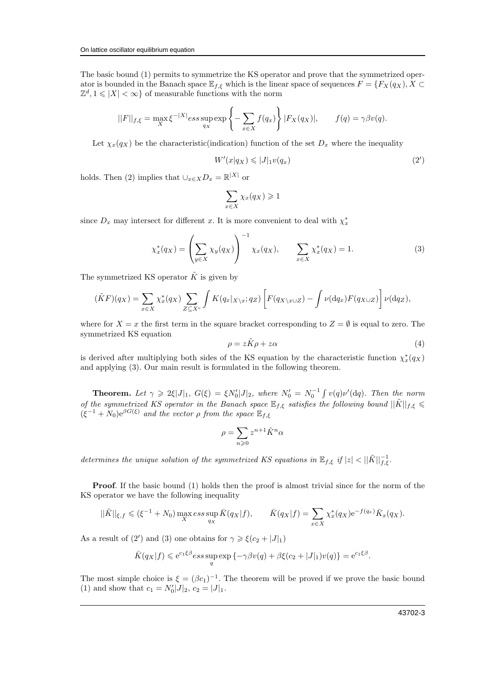The basic bound (1) permits to symmetrize the KS operator and prove that the symmetrized operator is bounded in the Banach space  $\mathbb{E}_{f,\xi}$  which is the linear space of sequences  $F = \{F_X(q_X), X \subset$  $\mathbb{Z}^d, 1 \leqslant |X| < \infty$  of measurable functions with the norm

$$
||F||_{f,\xi} = \max_{X} \xi^{-|X|} \operatorname{ess} \sup_{q_X} \exp \left\{-\sum_{x \in X} f(q_x)\right\} |F_X(q_X)|, \qquad f(q) = \gamma \beta v(q).
$$

Let  $\chi_x(q_X)$  be the characteristic(indication) function of the set  $D_x$  where the inequality

$$
W'(x|q_X) \leqslant |J|_1 v(q_x) \tag{2'}
$$

holds. Then (2) implies that  $\bigcup_{x \in X} D_x = \mathbb{R}^{|X|}$  or

$$
\sum_{x \in X} \chi_x(q_X) \geq 1
$$

since  $D_x$  may intersect for different x. It is more convenient to deal with  $\chi_x^*$ 

$$
\chi_x^*(q_X) = \left(\sum_{y \in X} \chi_y(q_X)\right)^{-1} \chi_x(q_X), \qquad \sum_{x \in X} \chi_x^*(q_X) = 1. \tag{3}
$$

The symmetrized KS operator  $\tilde{K}$  is given by

$$
(\tilde{K}F)(q_X) = \sum_{x \in X} \chi_x^*(q_X) \sum_{Z \subseteq X^c} \int K(q_x |_{X \setminus x}; q_Z) \left[ F(q_{X \setminus x \cup Z}) - \int \nu(\mathrm{d}q_x) F(q_{X \cup Z}) \right] \nu(\mathrm{d}q_Z),
$$

where for  $X = x$  the first term in the square bracket corresponding to  $Z = \emptyset$  is equal to zero. The symmetrized KS equation

$$
\rho = z\tilde{K}\rho + z\alpha \tag{4}
$$

is derived after multiplying both sides of the KS equation by the characteristic function  $\chi_x^*(q_X)$ and applying (3). Our main result is formulated in the following theorem.

**Theorem.** Let  $\gamma \geq 2\xi|J|_1$ ,  $G(\xi) = \xi N'_0|J|_2$ , where  $N'_0 = N_0^{-1} \int v(q) \nu'(dq)$ . Then the norm of the symmetrized KS operator in the Banach space  $\mathbb{E}_{f,\xi}$  satisfies the following bound  $||\tilde{K}||_{f,\xi} \leq$  $(\xi^{-1} + N_0)e^{\beta G(\xi)}$  and the vector  $\rho$  from the space  $\mathbb{E}_{f,\xi}$ 

$$
\rho=\sum_{n\geqslant 0}z^{n+1}\tilde{K}^n\alpha
$$

determines the unique solution of the symmetrized KS equations in  $\mathbb{E}_{f,\xi}$  if  $|z| < ||\tilde{K}||_{f,\xi}^{-1}$ .

**Proof.** If the basic bound (1) holds then the proof is almost trivial since for the norm of the KS operator we have the following inequality

$$
||\tilde{K}||_{\xi,f} \leq (\xi^{-1} + N_0) \max_X \operatorname*{ess} \sup_{q_X} \bar{K}(q_X|f), \qquad \bar{K}(q_X|f) = \sum_{x \in X} \chi_x^*(q_X) e^{-f(q_x)} \bar{K}_x(q_X).
$$

As a result of (2') and (3) one obtains for  $\gamma \geq \xi(c_2 + |J|_1)$ 

$$
\overline{K}(q_X|f) \leqslant e^{c_1\xi\beta} \underset{q}{\operatorname{ess\,sup}} \exp\left\{-\gamma\beta v(q) + \beta \xi(c_2 + |J|_1)v(q)\right\} = e^{c_1\xi\beta}.
$$

The most simple choice is  $\xi = (\beta c_1)^{-1}$ . The theorem will be proved if we prove the basic bound (1) and show that  $c_1 = N'_0 |J|_2$ ,  $c_2 = |J|_1$ .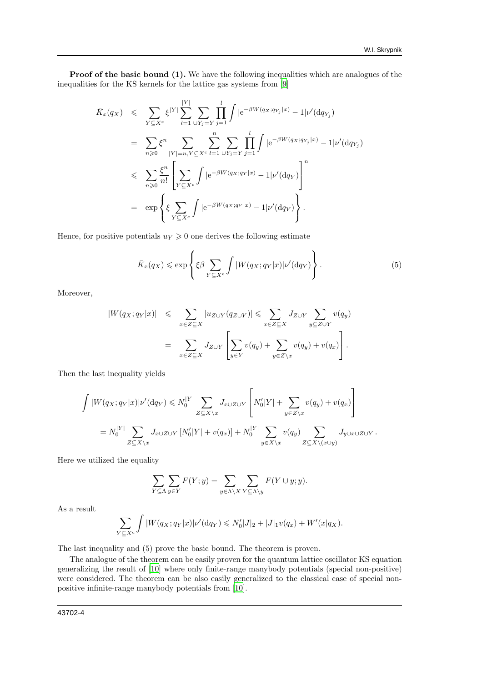Proof of the basic bound (1). We have the following inequalities which are analogues of the inequalities for the KS kernels for the lattice gas systems from [\[9\]](#page-5-9)

$$
\bar{K}_x(q_X) \leqslant \sum_{Y \subseteq X^c} \xi^{|Y|} \sum_{l=1}^{|Y|} \sum_{\cup Y_j = Y} \prod_{j=1}^l \int |e^{-\beta W(q_X; q_{Y_j}|x)} - 1| \nu'(dq_{Y_j})
$$
\n
$$
= \sum_{n \geqslant 0} \xi^n \sum_{|Y| = n, Y \subseteq X^c} \sum_{l=1}^n \sum_{\cup Y_j = Y} \prod_{j=1}^l \int |e^{-\beta W(q_X; q_{Y_j}|x)} - 1| \nu'(dq_{Y_j})
$$
\n
$$
\leqslant \sum_{n \geqslant 0} \frac{\xi^n}{n!} \left[ \sum_{Y \subseteq X^c} \int |e^{-\beta W(q_X; q_{Y}|x)} - 1| \nu'(dq_{Y}) \right]^n
$$
\n
$$
= \exp \left\{ \xi \sum_{Y \subseteq X^c} \int |e^{-\beta W(q_X; q_{Y}|x)} - 1| \nu'(dq_{Y}) \right\}.
$$

Hence, for positive potentials  $u_Y \geq 0$  one derives the following estimate

$$
\bar{K}_x(q_X) \leq \exp\left\{ \xi \beta \sum_{Y \subseteq X^c} \int |W(q_X; q_Y|x)| \nu'(\mathrm{d}q_Y) \right\}.
$$
\n<sup>(5)</sup>

Moreover,

$$
|W(q_X; q_Y|x)| \leqslant \sum_{x \in Z \subseteq X} |u_{Z \cup Y}(q_{Z \cup Y})| \leqslant \sum_{x \in Z \subseteq X} J_{Z \cup Y} \sum_{y \subseteq Z \cup Y} v(q_y)
$$
  

$$
= \sum_{x \in Z \subseteq X} J_{Z \cup Y} \left[ \sum_{y \in Y} v(q_y) + \sum_{y \in Z \setminus x} v(q_y) + v(q_x) \right].
$$

Then the last inequality yields

$$
\int |W(q_X; q_Y|x)| \nu'(dq_Y) \leq N_0^{|Y|} \sum_{Z \subseteq X \setminus x} J_{x \cup Z \cup Y} \left[ N_0'|Y| + \sum_{y \in Z \setminus x} v(q_y) + v(q_x) \right]
$$
  
=  $N_0^{|Y|} \sum_{Z \subseteq X \setminus x} J_{x \cup Z \cup Y} [N_0'|Y| + v(q_x)] + N_0^{|Y|} \sum_{y \in X \setminus x} v(q_y) \sum_{Z \subseteq X \setminus (x \cup y)} J_{y \cup x \cup Z \cup Y}.$ 

Here we utilized the equality

$$
\sum_{Y \subseteq \Lambda} \sum_{y \in Y} F(Y; y) = \sum_{y \in \Lambda \setminus X} \sum_{Y \subseteq \Lambda \setminus y} F(Y \cup y; y).
$$

As a result

$$
\sum_{Y \subseteq X^c} \int |W(q_X; q_Y|x)| \nu'(dq_Y) \leq N'_0 |J|_2 + |J|_1 v(q_x) + W'(x|q_X).
$$

The last inequality and (5) prove the basic bound. The theorem is proven.

The analogue of the theorem can be easily proven for the quantum lattice oscillator KS equation generalizing the result of [\[10](#page-5-10)] where only finite-range manybody potentials (special non-positive) were considered. The theorem can be also easily generalized to the classical case of special nonpositive infinite-range manybody potentials from [\[10\]](#page-5-10).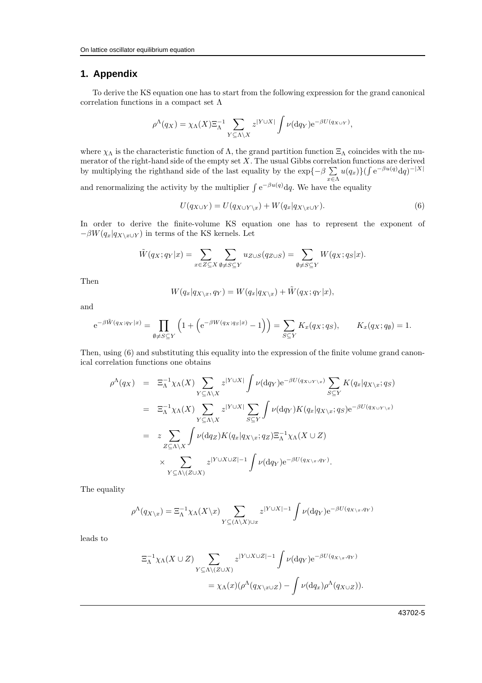## **1. Appendix**

To derive the KS equation one has to start from the following expression for the grand canonical correlation functions in a compact set Λ

$$
\rho^{\Lambda}(q_X) = \chi_{\Lambda}(X) \Xi_{\Lambda}^{-1} \sum_{Y \subseteq \Lambda \backslash X} z^{|Y \cup X|} \int \nu(\mathrm{d}q_Y) e^{-\beta U(q_{X \cup Y})},
$$

where  $\chi_{\Lambda}$  is the characteristic function of  $\Lambda$ , the grand partition function  $\Xi_{\Lambda}$  coincides with the numerator of the right-hand side of the empty set  $X$ . The usual Gibbs correlation functions are derived by multiplying the righthand side of the last equality by the  $\exp\{-\beta \sum_{n=1}^{\infty}$  $\sum_{x \in \Lambda} u(q_x) \} (\int e^{-\beta u(q)} dq)^{-|X|}$ 

and renormalizing the activity by the multiplier  $\int e^{-\beta u(q)} dq$ . We have the equality

$$
U(q_{X\cup Y}) = U(q_{X\cup Y\setminus x}) + W(q_x|q_{X\setminus x\cup Y}).
$$
\n<sup>(6)</sup>

In order to derive the finite-volume KS equation one has to represent the exponent of  $-\beta W(q_x|q_{X\setminus x\cup Y})$  in terms of the KS kernels. Let

$$
\tilde{W}(q_X; q_Y|x) = \sum_{x \in Z \subseteq X} \sum_{\emptyset \neq S \subseteq Y} u_{Z \cup S}(q_{Z \cup S}) = \sum_{\emptyset \neq S \subseteq Y} W(q_X; q_S|x).
$$

Then

$$
W(q_x|q_{X\setminus x}, q_Y) = W(q_x|q_{X\setminus x}) + \tilde{W}(q_X; q_Y|x),
$$

and

$$
e^{-\beta \tilde{W}(q_X;q_Y|x)} = \prod_{\emptyset \neq S \subseteq Y} \left(1 + \left(e^{-\beta W(q_X;q_S|x)} - 1\right)\right) = \sum_{S \subseteq Y} K_x(q_X;q_S), \qquad K_x(q_X;q_\emptyset) = 1.
$$

Then, using (6) and substituting this equality into the expression of the finite volume grand canonical correlation functions one obtains

$$
\rho^{\Lambda}(q_X) = \Xi_{\Lambda}^{-1} \chi_{\Lambda}(X) \sum_{Y \subseteq \Lambda \backslash X} z^{|Y \cup X|} \int \nu(\mathrm{d}q_Y) e^{-\beta U(q_{X \cup Y \backslash x})} \sum_{S \subseteq Y} K(q_x | q_{X \backslash x}; q_S)
$$
  
\n
$$
= \Xi_{\Lambda}^{-1} \chi_{\Lambda}(X) \sum_{Y \subseteq \Lambda \backslash X} z^{|Y \cup X|} \sum_{S \subseteq Y} \int \nu(\mathrm{d}q_Y) K(q_x | q_{X \backslash x}; q_S) e^{-\beta U(q_{X \cup Y \backslash x})}
$$
  
\n
$$
= z \sum_{Z \subseteq \Lambda \backslash X} \int \nu(\mathrm{d}q_Z) K(q_x | q_{X \backslash x}; q_Z) \Xi_{\Lambda}^{-1} \chi_{\Lambda}(X \cup Z)
$$
  
\n
$$
\times \sum_{Y \subseteq \Lambda \backslash (Z \cup X)} z^{|Y \cup X \cup Z|-1} \int \nu(\mathrm{d}q_Y) e^{-\beta U(q_{X \backslash x}, q_Y)}.
$$

The equality

$$
\rho^{\Lambda}(q_{X\setminus x}) = \Xi_{\Lambda}^{-1} \chi_{\Lambda}(X\setminus x) \sum_{Y \subseteq (\Lambda \setminus X) \cup x} z^{|Y \cup X|-1} \int \nu(\mathrm{d}q_{Y}) e^{-\beta U(q_{X\setminus x}, q_{Y})}
$$

leads to

$$
\begin{aligned} \Xi_{\Lambda}^{-1} \chi_{\Lambda}(X \cup Z) & \sum_{Y \subseteq \Lambda \setminus (Z \cup X)} z^{|Y \cup X \cup Z|-1} \int \nu(\mathrm{d}q_Y) e^{-\beta U(q_{X \setminus x}, q_Y)} \\ &= \chi_{\Lambda}(x) (\rho^{\Lambda}(q_{X \setminus x \cup Z}) - \int \nu(\mathrm{d}q_x) \rho^{\Lambda}(q_{X \cup Z})). \end{aligned}
$$

43702-5